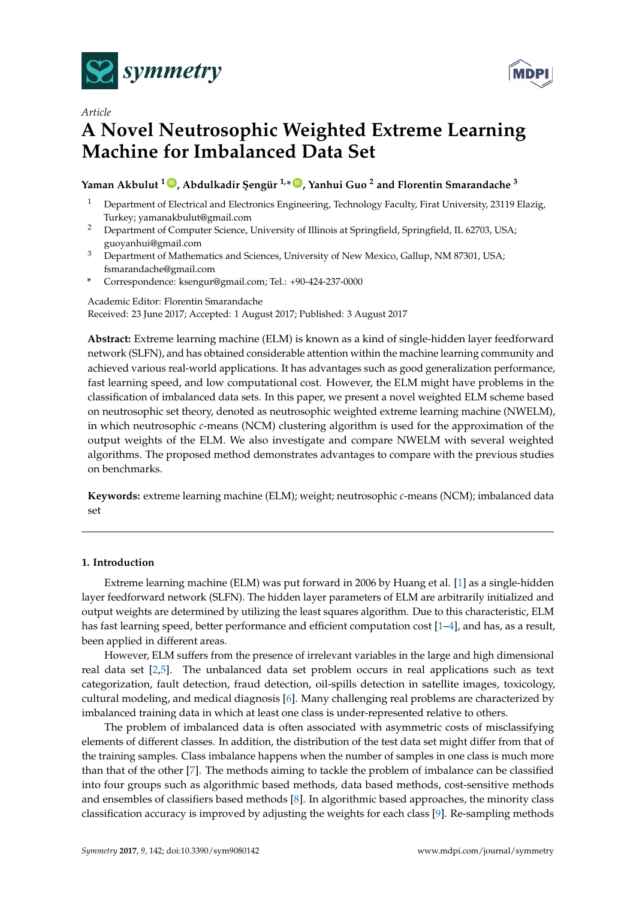

*Article*



# **A Novel Neutrosophic Weighted Extreme Learning Machine for Imbalanced Data Set**

**Yaman Akbulut <sup>1</sup> [ID](https://orcid.org/0000-0002-4760-4843) , Abdulkadir ¸Sengür 1,\* [ID](https://orcid.org/0000-0003-1614-2639) , Yanhui Guo <sup>2</sup> and Florentin Smarandache <sup>3</sup>**

- <sup>1</sup> Department of Electrical and Electronics Engineering, Technology Faculty, Firat University, 23119 Elazig, Turkey; yamanakbulut@gmail.com
- <sup>2</sup> Department of Computer Science, University of Illinois at Springfield, Springfield, IL 62703, USA; guoyanhui@gmail.com
- <sup>3</sup> Department of Mathematics and Sciences, University of New Mexico, Gallup, NM 87301, USA; fsmarandache@gmail.com
- **\*** Correspondence: ksengur@gmail.com; Tel.: +90-424-237-0000

Academic Editor: Florentin Smarandache Received: 23 June 2017; Accepted: 1 August 2017; Published: 3 August 2017

**Abstract:** Extreme learning machine (ELM) is known as a kind of single-hidden layer feedforward network (SLFN), and has obtained considerable attention within the machine learning community and achieved various real-world applications. It has advantages such as good generalization performance, fast learning speed, and low computational cost. However, the ELM might have problems in the classification of imbalanced data sets. In this paper, we present a novel weighted ELM scheme based on neutrosophic set theory, denoted as neutrosophic weighted extreme learning machine (NWELM), in which neutrosophic *c*-means (NCM) clustering algorithm is used for the approximation of the output weights of the ELM. We also investigate and compare NWELM with several weighted algorithms. The proposed method demonstrates advantages to compare with the previous studies on benchmarks.

**Keywords:** extreme learning machine (ELM); weight; neutrosophic *c*-means (NCM); imbalanced data set

# **1. Introduction**

Extreme learning machine (ELM) was put forward in 2006 by Huang et al. [\[1\]](#page-11-0) as a single-hidden layer feedforward network (SLFN). The hidden layer parameters of ELM are arbitrarily initialized and output weights are determined by utilizing the least squares algorithm. Due to this characteristic, ELM has fast learning speed, better performance and efficient computation cost [\[1](#page-11-0)[–4\]](#page-11-1), and has, as a result, been applied in different areas.

However, ELM suffers from the presence of irrelevant variables in the large and high dimensional real data set [\[2](#page-11-2)[,5\]](#page-11-3). The unbalanced data set problem occurs in real applications such as text categorization, fault detection, fraud detection, oil-spills detection in satellite images, toxicology, cultural modeling, and medical diagnosis [\[6\]](#page-11-4). Many challenging real problems are characterized by imbalanced training data in which at least one class is under-represented relative to others.

The problem of imbalanced data is often associated with asymmetric costs of misclassifying elements of different classes. In addition, the distribution of the test data set might differ from that of the training samples. Class imbalance happens when the number of samples in one class is much more than that of the other [\[7\]](#page-11-5). The methods aiming to tackle the problem of imbalance can be classified into four groups such as algorithmic based methods, data based methods, cost-sensitive methods and ensembles of classifiers based methods [\[8\]](#page-11-6). In algorithmic based approaches, the minority class classification accuracy is improved by adjusting the weights for each class [\[9\]](#page-11-7). Re-sampling methods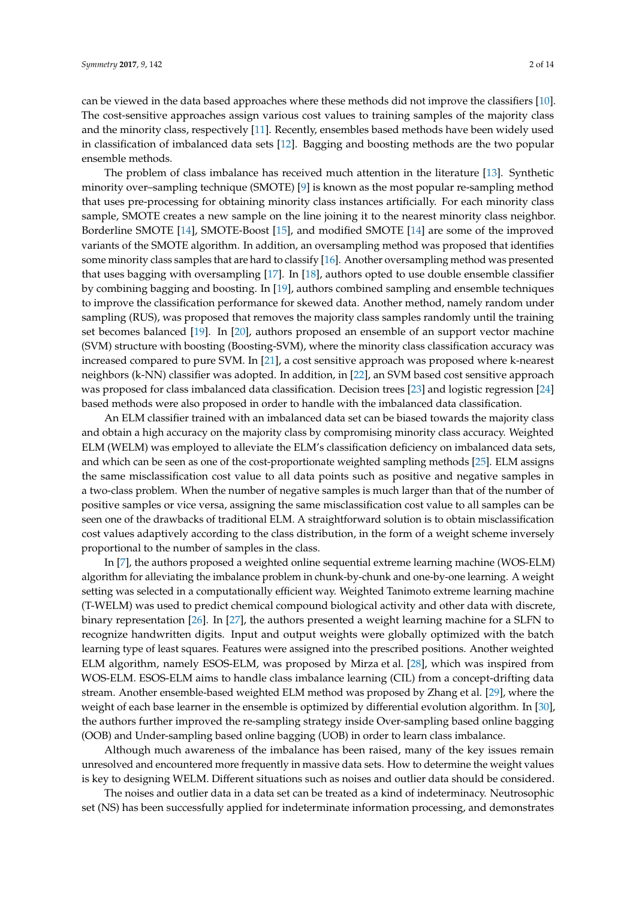can be viewed in the data based approaches where these methods did not improve the classifiers [\[10\]](#page-11-8). The cost-sensitive approaches assign various cost values to training samples of the majority class and the minority class, respectively [\[11\]](#page-11-9). Recently, ensembles based methods have been widely used in classification of imbalanced data sets [\[12\]](#page-11-10). Bagging and boosting methods are the two popular ensemble methods.

The problem of class imbalance has received much attention in the literature [\[13\]](#page-11-11). Synthetic minority over–sampling technique (SMOTE) [\[9\]](#page-11-7) is known as the most popular re-sampling method that uses pre-processing for obtaining minority class instances artificially. For each minority class sample, SMOTE creates a new sample on the line joining it to the nearest minority class neighbor. Borderline SMOTE [\[14\]](#page-11-12), SMOTE-Boost [\[15\]](#page-11-13), and modified SMOTE [\[14\]](#page-11-12) are some of the improved variants of the SMOTE algorithm. In addition, an oversampling method was proposed that identifies some minority class samples that are hard to classify [\[16\]](#page-11-14). Another oversampling method was presented that uses bagging with oversampling [\[17\]](#page-11-15). In [\[18\]](#page-12-0), authors opted to use double ensemble classifier by combining bagging and boosting. In [\[19\]](#page-12-1), authors combined sampling and ensemble techniques to improve the classification performance for skewed data. Another method, namely random under sampling (RUS), was proposed that removes the majority class samples randomly until the training set becomes balanced [\[19\]](#page-12-1). In [\[20\]](#page-12-2), authors proposed an ensemble of an support vector machine (SVM) structure with boosting (Boosting-SVM), where the minority class classification accuracy was increased compared to pure SVM. In [\[21\]](#page-12-3), a cost sensitive approach was proposed where k-nearest neighbors (k-NN) classifier was adopted. In addition, in [\[22\]](#page-12-4), an SVM based cost sensitive approach was proposed for class imbalanced data classification. Decision trees [\[23\]](#page-12-5) and logistic regression [\[24\]](#page-12-6) based methods were also proposed in order to handle with the imbalanced data classification.

An ELM classifier trained with an imbalanced data set can be biased towards the majority class and obtain a high accuracy on the majority class by compromising minority class accuracy. Weighted ELM (WELM) was employed to alleviate the ELM's classification deficiency on imbalanced data sets, and which can be seen as one of the cost-proportionate weighted sampling methods [\[25\]](#page-12-7). ELM assigns the same misclassification cost value to all data points such as positive and negative samples in a two-class problem. When the number of negative samples is much larger than that of the number of positive samples or vice versa, assigning the same misclassification cost value to all samples can be seen one of the drawbacks of traditional ELM. A straightforward solution is to obtain misclassification cost values adaptively according to the class distribution, in the form of a weight scheme inversely proportional to the number of samples in the class.

In [\[7\]](#page-11-5), the authors proposed a weighted online sequential extreme learning machine (WOS-ELM) algorithm for alleviating the imbalance problem in chunk-by-chunk and one-by-one learning. A weight setting was selected in a computationally efficient way. Weighted Tanimoto extreme learning machine (T-WELM) was used to predict chemical compound biological activity and other data with discrete, binary representation [\[26\]](#page-12-8). In [\[27\]](#page-12-9), the authors presented a weight learning machine for a SLFN to recognize handwritten digits. Input and output weights were globally optimized with the batch learning type of least squares. Features were assigned into the prescribed positions. Another weighted ELM algorithm, namely ESOS-ELM, was proposed by Mirza et al. [\[28\]](#page-12-10), which was inspired from WOS-ELM. ESOS-ELM aims to handle class imbalance learning (CIL) from a concept-drifting data stream. Another ensemble-based weighted ELM method was proposed by Zhang et al. [\[29\]](#page-12-11), where the weight of each base learner in the ensemble is optimized by differential evolution algorithm. In [\[30\]](#page-12-12), the authors further improved the re-sampling strategy inside Over-sampling based online bagging (OOB) and Under-sampling based online bagging (UOB) in order to learn class imbalance.

Although much awareness of the imbalance has been raised, many of the key issues remain unresolved and encountered more frequently in massive data sets. How to determine the weight values is key to designing WELM. Different situations such as noises and outlier data should be considered.

The noises and outlier data in a data set can be treated as a kind of indeterminacy. Neutrosophic set (NS) has been successfully applied for indeterminate information processing, and demonstrates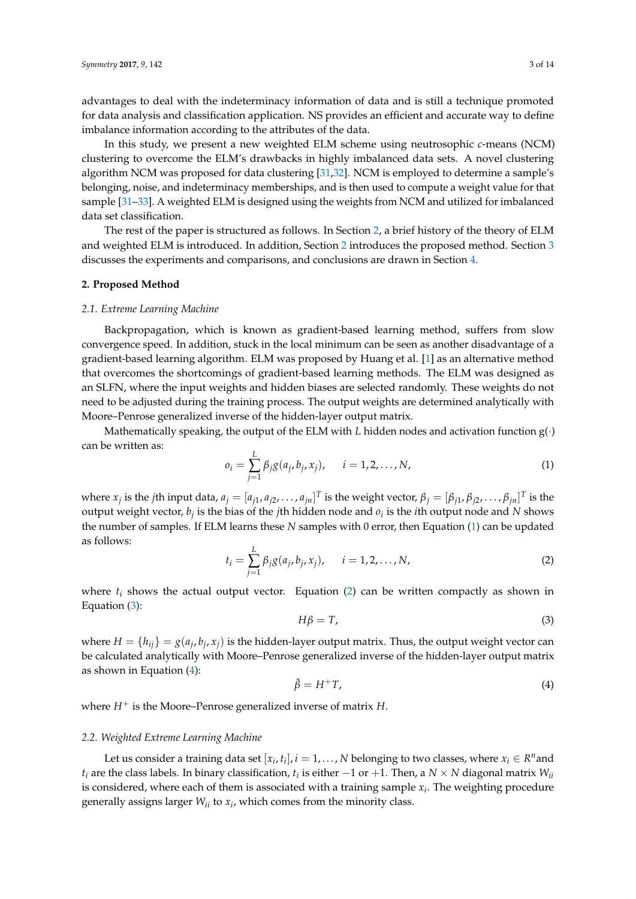advantages to deal with the indeterminacy information of data and is still a technique promoted for data analysis and classification application. NS provides an efficient and accurate way to define imbalance information according to the attributes of the data.

In this study, we present a new weighted ELM scheme using neutrosophic *c*-means (NCM) clustering to overcome the ELM's drawbacks in highly imbalanced data sets. A novel clustering algorithm NCM was proposed for data clustering [\[31,](#page-12-13)[32\]](#page-12-14). NCM is employed to determine a sample's belonging, noise, and indeterminacy memberships, and is then used to compute a weight value for that sample [\[31–](#page-12-13)[33\]](#page-12-15). A weighted ELM is designed using the weights from NCM and utilized for imbalanced data set classification.

The rest of the paper is structured as follows. In Section [2,](#page-2-0) a brief history of the theory of ELM and weighted ELM is introduced. In addition, Section [2](#page-2-0) introduces the proposed method. Section [3](#page-5-0) discusses the experiments and comparisons, and conclusions are drawn in Section [4.](#page-10-0)

## <span id="page-2-0"></span>**2. Proposed Method**

### *2.1. Extreme Learning Machine*

Backpropagation, which is known as gradient-based learning method, suffers from slow convergence speed. In addition, stuck in the local minimum can be seen as another disadvantage of a gradient-based learning algorithm. ELM was proposed by Huang et al. [\[1\]](#page-11-0) as an alternative method that overcomes the shortcomings of gradient-based learning methods. The ELM was designed as an SLFN, where the input weights and hidden biases are selected randomly. These weights do not need to be adjusted during the training process. The output weights are determined analytically with Moore–Penrose generalized inverse of the hidden-layer output matrix.

Mathematically speaking, the output of the ELM with *L* hidden nodes and activation function  $g(\cdot)$ can be written as:

<span id="page-2-1"></span>
$$
o_i = \sum_{j=1}^{L} \beta_j g(a_j, b_j, x_j), \qquad i = 1, 2, ..., N,
$$
 (1)

where  $x_j$  is the *j*th input data,  $a_j=[a_{j1},a_{j2},\ldots,a_{jn}]^T$  is the weight vector,  $\beta_j=[\beta_{j1},\beta_{j2},\ldots,\beta_{jn}]^T$  is the output weight vector,  $b_j$  is the bias of the *j*th hidden node and  $o_i$  is the *i*th output node and  $N$  shows the number of samples. If ELM learns these *N* samples with 0 error, then Equation [\(1\)](#page-2-1) can be updated as follows:

<span id="page-2-2"></span>
$$
t_i = \sum_{j=1}^{L} \beta_j g(a_j, b_j, x_j), \qquad i = 1, 2, ..., N,
$$
 (2)

where  $t_i$  shows the actual output vector. Equation [\(2\)](#page-2-2) can be written compactly as shown in Equation [\(3\)](#page-2-3):

<span id="page-2-3"></span>
$$
H\beta = T,\t\t(3)
$$

where  $H = \{h_{ij}\} = g(a_j, b_j, x_j)$  is the hidden-layer output matrix. Thus, the output weight vector can be calculated analytically with Moore–Penrose generalized inverse of the hidden-layer output matrix as shown in Equation [\(4\)](#page-2-4):

<span id="page-2-4"></span>
$$
\hat{\beta} = H^+T,\tag{4}
$$

where  $H^+$  is the Moore–Penrose generalized inverse of matrix  $H$ .

## *2.2. Weighted Extreme Learning Machine*

Let us consider a training data set  $[x_i, t_i]$ ,  $i = 1, ..., N$  belonging to two classes, where  $x_i \in R^n$  and  $t_i$  are the class labels. In binary classification,  $t_i$  is either  $-1$  or  $+1$ . Then, a  $N \times N$  diagonal matrix  $W_{ii}$ is considered, where each of them is associated with a training sample *x<sup>i</sup>* . The weighting procedure generally assigns larger *Wii* to *x<sup>i</sup>* , which comes from the minority class.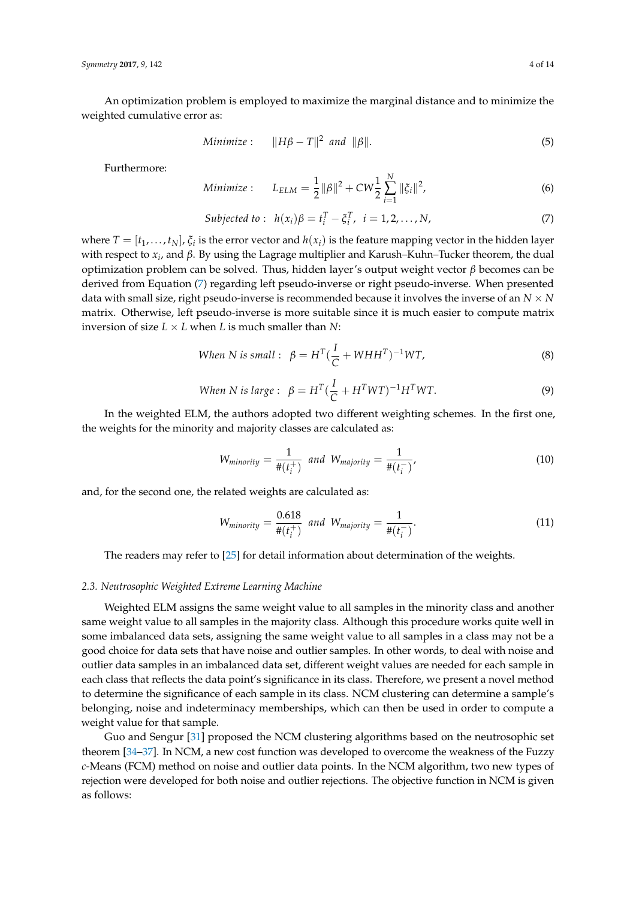*Symmetry* **2017**, *9*, 142 4 of 14

An optimization problem is employed to maximize the marginal distance and to minimize the weighted cumulative error as:

Minimize: 
$$
||H\beta - T||^2
$$
 and  $||\beta||$ . (5)

Furthermore:

Minimize: 
$$
L_{ELM} = \frac{1}{2} ||\beta||^2 + CW \frac{1}{2} \sum_{i=1}^{N} ||\xi_i||^2,
$$
 (6)

<span id="page-3-0"></span>
$$
Subjected to: h(x_i)\beta = t_i^T - \xi_i^T, i = 1, 2, ..., N,
$$
\n(7)

where  $T = [t_1, ..., t_N]$ ,  $\xi_i$  is the error vector and  $h(x_i)$  is the feature mapping vector in the hidden layer with respect to *x<sup>i</sup>* , and *β*. By using the Lagrage multiplier and Karush–Kuhn–Tucker theorem, the dual optimization problem can be solved. Thus, hidden layer's output weight vector *β* becomes can be derived from Equation [\(7\)](#page-3-0) regarding left pseudo-inverse or right pseudo-inverse. When presented data with small size, right pseudo-inverse is recommended because it involves the inverse of an  $N \times N$ matrix. Otherwise, left pseudo-inverse is more suitable since it is much easier to compute matrix inversion of size  $L \times L$  when  $L$  is much smaller than  $N$ :

<span id="page-3-1"></span>When N is small: 
$$
\beta = H^T(\frac{I}{C} + WHH^T)^{-1}WT,
$$
 (8)

<span id="page-3-2"></span>When N is large: 
$$
\beta = H^T(\frac{I}{C} + H^TWT)^{-1}H^TWT.
$$
 (9)

In the weighted ELM, the authors adopted two different weighting schemes. In the first one, the weights for the minority and majority classes are calculated as:

$$
W_{minority} = \frac{1}{\#(t_i^+)} \quad and \quad W_{majority} = \frac{1}{\#(t_i^-)}\tag{10}
$$

and, for the second one, the related weights are calculated as:

$$
W_{minority} = \frac{0.618}{\#(t_i^+)} \quad \text{and} \quad W_{majority} = \frac{1}{\#(t_i^-)}.
$$

The readers may refer to [\[25\]](#page-12-7) for detail information about determination of the weights.

#### *2.3. Neutrosophic Weighted Extreme Learning Machine*

Weighted ELM assigns the same weight value to all samples in the minority class and another same weight value to all samples in the majority class. Although this procedure works quite well in some imbalanced data sets, assigning the same weight value to all samples in a class may not be a good choice for data sets that have noise and outlier samples. In other words, to deal with noise and outlier data samples in an imbalanced data set, different weight values are needed for each sample in each class that reflects the data point's significance in its class. Therefore, we present a novel method to determine the significance of each sample in its class. NCM clustering can determine a sample's belonging, noise and indeterminacy memberships, which can then be used in order to compute a weight value for that sample.

Guo and Sengur [\[31\]](#page-12-13) proposed the NCM clustering algorithms based on the neutrosophic set theorem [\[34](#page-12-16)[–37\]](#page-12-17). In NCM, a new cost function was developed to overcome the weakness of the Fuzzy *c*-Means (FCM) method on noise and outlier data points. In the NCM algorithm, two new types of rejection were developed for both noise and outlier rejections. The objective function in NCM is given as follows: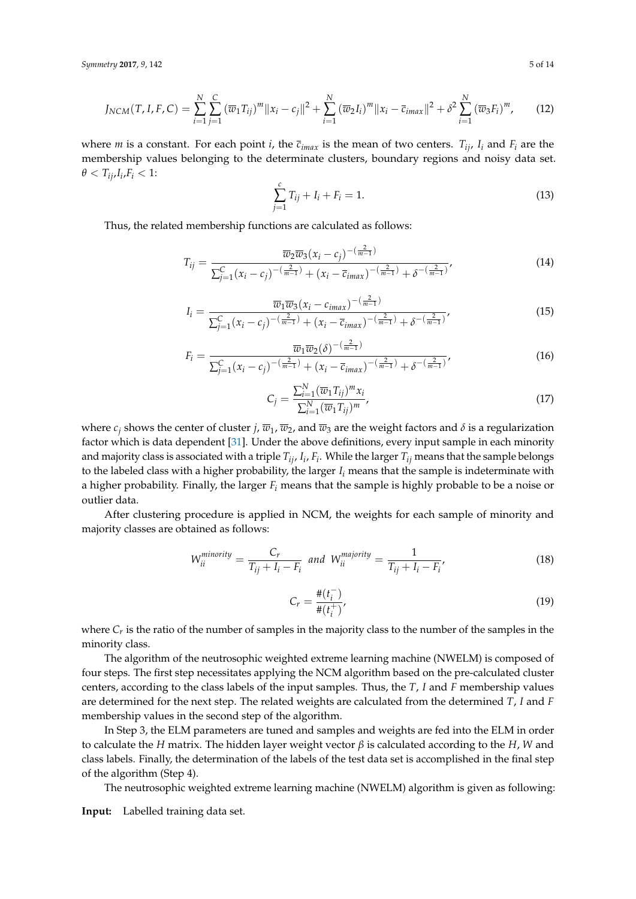*Symmetry* **2017**, *9*, 142 5 of 14

$$
J_{NCM}(T, I, F, C) = \sum_{i=1}^{N} \sum_{j=1}^{C} (\overline{w}_{1} T_{ij})^{m} \|x_{i} - c_{j}\|^{2} + \sum_{i=1}^{N} (\overline{w}_{2} I_{i})^{m} \|x_{i} - \overline{c}_{imax}\|^{2} + \delta^{2} \sum_{i=1}^{N} (\overline{w}_{3} F_{i})^{m},
$$
(12)

where *m* is a constant. For each point *i*, the  $\bar{c}_{imax}$  is the mean of two centers.  $T_{ij}$ ,  $I_i$  and  $F_i$  are the membership values belonging to the determinate clusters, boundary regions and noisy data set.  $\theta < T_{ij}$ ,  $I_i$ ,  $F_i < 1$ :

$$
\sum_{j=1}^{c} T_{ij} + I_i + F_i = 1.
$$
\n(13)

Thus, the related membership functions are calculated as follows:

$$
T_{ij} = \frac{\overline{w}_2 \overline{w}_3 (x_i - c_j)^{-(\frac{2}{m-1})}}{\sum_{j=1}^C (x_i - c_j)^{-(\frac{2}{m-1})} + (x_i - \overline{c}_{imax})^{-(\frac{2}{m-1})} + \delta^{-(\frac{2}{m-1})}},
$$
(14)

$$
I_{i} = \frac{\overline{w}_{1}\overline{w}_{3}(x_{i} - c_{i\overline{m}ax})^{-(\frac{2}{m-1})}}{\sum_{j=1}^{C}(x_{i} - c_{j})^{-(\frac{2}{m-1})} + (x_{i} - \overline{c}_{i\overline{m}ax})^{-(\frac{2}{m-1})} + \delta^{-(\frac{2}{m-1})}},
$$
(15)

$$
F_i = \frac{\overline{w}_1 \overline{w}_2(\delta)^{-(\frac{2}{m-1})}}{\sum_{j=1}^{C} (x_i - c_j)^{-(\frac{2}{m-1})} + (x_i - \overline{c}_{imax})^{-(\frac{2}{m-1})} + \delta^{-(\frac{2}{m-1})}},
$$
(16)

$$
C_j = \frac{\sum_{i=1}^{N} (\overline{w}_1 T_{ij})^m x_i}{\sum_{i=1}^{N} (\overline{w}_1 T_{ij})^m},
$$
\n(17)

where  $c_i$  shows the center of cluster *j*,  $\overline{w}_1$ ,  $\overline{w}_2$ , and  $\overline{w}_3$  are the weight factors and  $\delta$  is a regularization factor which is data dependent [\[31\]](#page-12-13). Under the above definitions, every input sample in each minority and majority class is associated with a triple *Tij*, *I<sup>i</sup>* , *F<sup>i</sup>* . While the larger *Tij* means that the sample belongs to the labeled class with a higher probability, the larger *I<sup>i</sup>* means that the sample is indeterminate with a higher probability. Finally, the larger *F<sup>i</sup>* means that the sample is highly probable to be a noise or outlier data.

After clustering procedure is applied in NCM, the weights for each sample of minority and majority classes are obtained as follows:

<span id="page-4-0"></span>
$$
W_{ii}^{minority} = \frac{C_r}{T_{ij} + I_i - F_i} \quad and \quad W_{ii}^{majority} = \frac{1}{T_{ij} + I_i - F_i'},
$$
\n<sup>(18)</sup>

<span id="page-4-1"></span>
$$
C_r = \frac{\#(t_i^-)}{\#(t_i^+)}\tag{19}
$$

where  $C_r$  is the ratio of the number of samples in the majority class to the number of the samples in the minority class.

The algorithm of the neutrosophic weighted extreme learning machine (NWELM) is composed of four steps. The first step necessitates applying the NCM algorithm based on the pre-calculated cluster centers, according to the class labels of the input samples. Thus, the *T*, *I* and *F* membership values are determined for the next step. The related weights are calculated from the determined *T*, *I* and *F* membership values in the second step of the algorithm.

In Step 3, the ELM parameters are tuned and samples and weights are fed into the ELM in order to calculate the *H* matrix. The hidden layer weight vector *β* is calculated according to the *H*, *W* and class labels. Finally, the determination of the labels of the test data set is accomplished in the final step of the algorithm (Step 4).

The neutrosophic weighted extreme learning machine (NWELM) algorithm is given as following:

**Input:** Labelled training data set.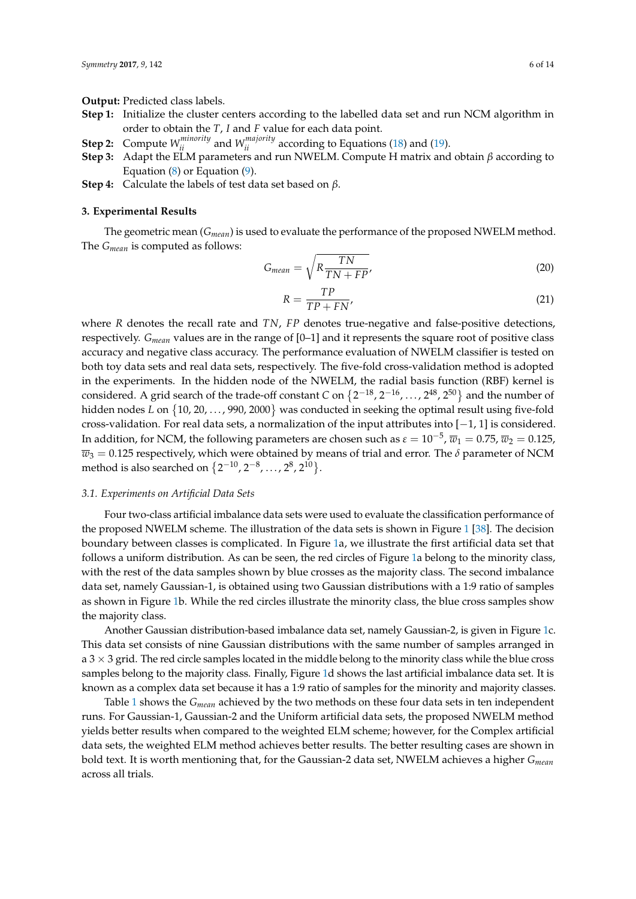**Output:** Predicted class labels.

- **Step 1:** Initialize the cluster centers according to the labelled data set and run NCM algorithm in order to obtain the *T*, *I* and *F* value for each data point.
- **Step 2:** Compute  $W_{ii}^{minority}$  and  $W_{ii}^{majority}$  according to Equations [\(18\)](#page-4-0) and [\(19\)](#page-4-1).
- **Step 3:** Adapt the ELM parameters and run NWELM. Compute H matrix and obtain *β* according to Equation [\(8\)](#page-3-1) or Equation [\(9\)](#page-3-2).
- **Step 4:** Calculate the labels of test data set based on *β*.

#### <span id="page-5-0"></span>**3. Experimental Results**

The geometric mean (*Gmean*) is used to evaluate the performance of the proposed NWELM method. The *Gmean* is computed as follows:

$$
G_{mean} = \sqrt{R \frac{TN}{TN + FP'}}
$$
\n(20)

$$
R = \frac{TP}{TP + FN'}
$$
\n<sup>(21)</sup>

where *R* denotes the recall rate and *TN*, *FP* denotes true-negative and false-positive detections, respectively. *Gmean* values are in the range of [0–1] and it represents the square root of positive class accuracy and negative class accuracy. The performance evaluation of NWELM classifier is tested on both toy data sets and real data sets, respectively. The five-fold cross-validation method is adopted in the experiments. In the hidden node of the NWELM, the radial basis function (RBF) kernel is considered. A grid search of the trade-off constant *C* on  $\{2^{-18}, 2^{-16}, ..., 2^{48}, 2^{50}\}$  and the number of hidden nodes  $L$  on  $\{10, 20, \ldots$  , 990, 2000  $\}$  was conducted in seeking the optimal result using five-fold cross-validation. For real data sets, a normalization of the input attributes into  $[-1, 1]$  is considered. In addition, for NCM, the following parameters are chosen such as  $\epsilon=10^{-5}$ ,  $\overline{w}_1=0.75$ ,  $\overline{w}_2=0.125$ ,  $\overline{w}_3$  = 0.125 respectively, which were obtained by means of trial and error. The  $\delta$  parameter of NCM method is also searched on  $\{2^{-10}, 2^{-8}, ..., 2^8, 2^{10}\}.$ 

#### *3.1. Experiments on Artificial Data Sets*

Four two-class artificial imbalance data sets were used to evaluate the classification performance of the proposed NWELM scheme. The illustration of the data sets is shown in Figure [1](#page-6-0) [\[38\]](#page-12-18). The decision boundary between classes is complicated. In Figure [1a](#page-6-0), we illustrate the first artificial data set that follows a uniform distribution. As can be seen, the red circles of Figure [1a](#page-6-0) belong to the minority class, with the rest of the data samples shown by blue crosses as the majority class. The second imbalance data set, namely Gaussian-1, is obtained using two Gaussian distributions with a 1:9 ratio of samples as shown in Figure [1b](#page-6-0). While the red circles illustrate the minority class, the blue cross samples show the majority class.

Another Gaussian distribution-based imbalance data set, namely Gaussian-2, is given in Figure [1c](#page-6-0). This data set consists of nine Gaussian distributions with the same number of samples arranged in a  $3 \times 3$  grid. The red circle samples located in the middle belong to the minority class while the blue cross samples belong to the majority class. Finally, Figure [1d](#page-6-0) shows the last artificial imbalance data set. It is known as a complex data set because it has a 1:9 ratio of samples for the minority and majority classes.

Table [1](#page-6-1) shows the *Gmean* achieved by the two methods on these four data sets in ten independent runs. For Gaussian-1, Gaussian-2 and the Uniform artificial data sets, the proposed NWELM method yields better results when compared to the weighted ELM scheme; however, for the Complex artificial data sets, the weighted ELM method achieves better results. The better resulting cases are shown in bold text. It is worth mentioning that, for the Gaussian-2 data set, NWELM achieves a higher *Gmean* across all trials.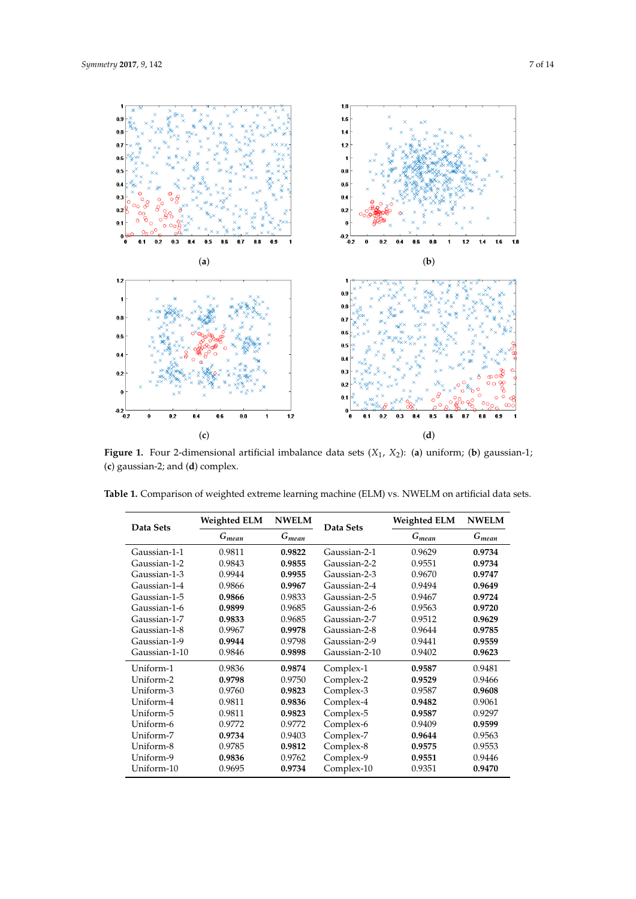<span id="page-6-0"></span>

**Figure 1.** Four 2-dimensional artificial imbalance data sets (*X*<sup>1</sup> , *X*2): (**a**) uniform; (**b**) gaussian-1; (**c**) gaussian-2; and (**d**) complex.

| Data Sets     | Weighted ELM | <b>NWELM</b> | Data Sets     | <b>Weighted ELM</b> | <b>NWELM</b> |
|---------------|--------------|--------------|---------------|---------------------|--------------|
|               | $G_{mean}$   | $G_{mean}$   |               | $G_{mean}$          | $G_{mean}$   |
| Gaussian-1-1  | 0.9811       | 0.9822       | Gaussian-2-1  | 0.9629              | 0.9734       |
| Gaussian-1-2  | 0.9843       | 0.9855       | Gaussian-2-2  | 0.9551              | 0.9734       |
| Gaussian-1-3  | 0.9944       | 0.9955       | Gaussian-2-3  | 0.9670              | 0.9747       |
| Gaussian-1-4  | 0.9866       | 0.9967       | Gaussian-2-4  | 0.9494              | 0.9649       |
| Gaussian-1-5  | 0.9866       | 0.9833       | Gaussian-2-5  | 0.9467              | 0.9724       |
| Gaussian-1-6  | 0.9899       | 0.9685       | Gaussian-2-6  | 0.9563              | 0.9720       |
| Gaussian-1-7  | 0.9833       | 0.9685       | Gaussian-2-7  | 0.9512              | 0.9629       |
| Gaussian-1-8  | 0.9967       | 0.9978       | Gaussian-2-8  | 0.9644              | 0.9785       |
| Gaussian-1-9  | 0.9944       | 0.9798       | Gaussian-2-9  | 0.9441              | 0.9559       |
| Gaussian-1-10 | 0.9846       | 0.9898       | Gaussian-2-10 | 0.9402              | 0.9623       |
| Uniform-1     | 0.9836       | 0.9874       | Complex-1     | 0.9587              | 0.9481       |
| Uniform-2     | 0.9798       | 0.9750       | Complex-2     | 0.9529              | 0.9466       |
| Uniform-3     | 0.9760       | 0.9823       | Complex-3     | 0.9587              | 0.9608       |
| Uniform-4     | 0.9811       | 0.9836       | Complex-4     | 0.9482              | 0.9061       |
| Uniform-5     | 0.9811       | 0.9823       | Complex-5     | 0.9587              | 0.9297       |
| Uniform-6     | 0.9772       | 0.9772       | Complex-6     | 0.9409              | 0.9599       |
| Uniform-7     | 0.9734       | 0.9403       | Complex-7     | 0.9644              | 0.9563       |
| Uniform-8     | 0.9785       | 0.9812       | Complex-8     | 0.9575              | 0.9553       |
| Uniform-9     | 0.9836       | 0.9762       | Complex-9     | 0.9551              | 0.9446       |
| Uniform-10    | 0.9695       | 0.9734       | Complex-10    | 0.9351              | 0.9470       |

<span id="page-6-1"></span>**Table 1.** Comparison of weighted extreme learning machine (ELM) vs. NWELM on artificial data sets.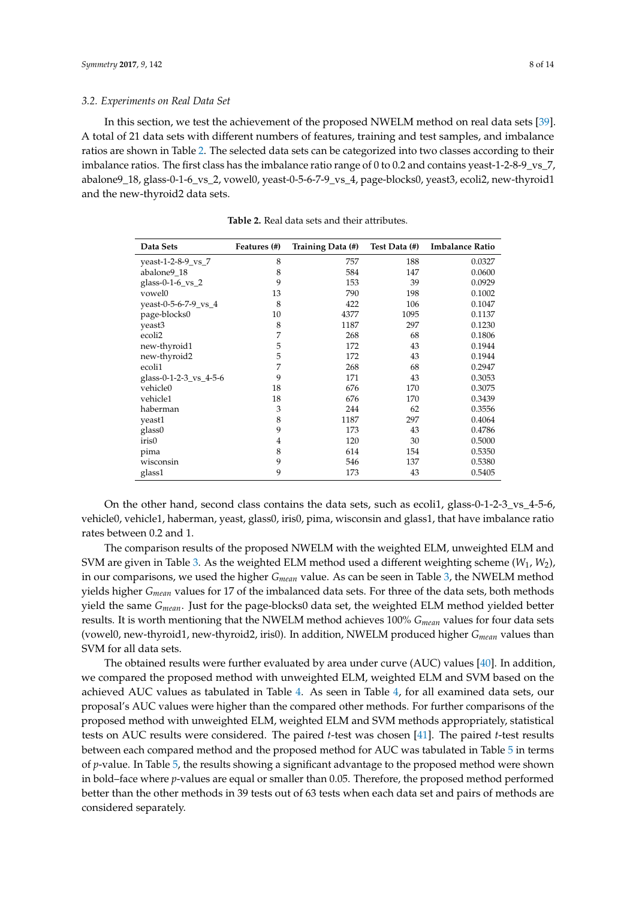In this section, we test the achievement of the proposed NWELM method on real data sets [\[39\]](#page-12-19). A total of 21 data sets with different numbers of features, training and test samples, and imbalance ratios are shown in Table [2.](#page-7-0) The selected data sets can be categorized into two classes according to their imbalance ratios. The first class has the imbalance ratio range of 0 to 0.2 and contains yeast-1-2-8-9\_vs\_7, abalone9\_18, glass-0-1-6\_vs\_2, vowel0, yeast-0-5-6-7-9\_vs\_4, page-blocks0, yeast3, ecoli2, new-thyroid1 and the new-thyroid2 data sets.

<span id="page-7-0"></span>

| Data Sets              | Features (#) | Training Data (#) | Test Data (#) | <b>Imbalance Ratio</b> |
|------------------------|--------------|-------------------|---------------|------------------------|
| yeast-1-2-8-9_vs_7     | 8            | 757               | 188           | 0.0327                 |
| abalone9 18            | 8            | 584               | 147           | 0.0600                 |
| glass-0-1-6_vs_2       | 9            | 153               | 39            | 0.0929                 |
| vowel0                 | 13           | 790               | 198           | 0.1002                 |
| yeast-0-5-6-7-9_vs_4   | 8            | 422               | 106           | 0.1047                 |
| page-blocks0           | 10           | 4377              | 1095          | 0.1137                 |
| yeast3                 | 8            | 1187              | 297           | 0.1230                 |
| ecoli <sub>2</sub>     | 7            | 268               | 68            | 0.1806                 |
| new-thyroid1           | 5            | 172               | 43            | 0.1944                 |
| new-thyroid2           | 5            | 172               | 43            | 0.1944                 |
| ecoli1                 | 7            | 268               | 68            | 0.2947                 |
| glass-0-1-2-3_vs_4-5-6 | 9            | 171               | 43            | 0.3053                 |
| vehicle0               | 18           | 676               | 170           | 0.3075                 |
| vehicle1               | 18           | 676               | 170           | 0.3439                 |
| haberman               | 3            | 244               | 62            | 0.3556                 |
| yeast1                 | 8            | 1187              | 297           | 0.4064                 |
| glass0                 | 9            | 173               | 43            | 0.4786                 |
| iris0                  | 4            | 120               | 30            | 0.5000                 |
| pima                   | 8            | 614               | 154           | 0.5350                 |
| wisconsin              | 9            | 546               | 137           | 0.5380                 |
| glass1                 | 9            | 173               | 43            | 0.5405                 |

**Table 2.** Real data sets and their attributes.

On the other hand, second class contains the data sets, such as ecoli1, glass-0-1-2-3<sub></sub> vs<sub>-</sub>4-5-6, vehicle0, vehicle1, haberman, yeast, glass0, iris0, pima, wisconsin and glass1, that have imbalance ratio rates between 0.2 and 1.

The comparison results of the proposed NWELM with the weighted ELM, unweighted ELM and SVM are given in Table [3.](#page-8-0) As the weighted ELM method used a different weighting scheme  $(W_1, W_2)$ , in our comparisons, we used the higher *Gmean* value. As can be seen in Table [3,](#page-8-0) the NWELM method yields higher *Gmean* values for 17 of the imbalanced data sets. For three of the data sets, both methods yield the same *Gmean*. Just for the page-blocks0 data set, the weighted ELM method yielded better results. It is worth mentioning that the NWELM method achieves 100% *Gmean* values for four data sets (vowel0, new-thyroid1, new-thyroid2, iris0). In addition, NWELM produced higher *Gmean* values than SVM for all data sets.

The obtained results were further evaluated by area under curve (AUC) values [\[40\]](#page-12-20). In addition, we compared the proposed method with unweighted ELM, weighted ELM and SVM based on the achieved AUC values as tabulated in Table [4.](#page-8-1) As seen in Table [4,](#page-8-1) for all examined data sets, our proposal's AUC values were higher than the compared other methods. For further comparisons of the proposed method with unweighted ELM, weighted ELM and SVM methods appropriately, statistical tests on AUC results were considered. The paired *t*-test was chosen [\[41\]](#page-12-21). The paired *t*-test results between each compared method and the proposed method for AUC was tabulated in Table [5](#page-9-0) in terms of *p*-value. In Table [5,](#page-9-0) the results showing a significant advantage to the proposed method were shown in bold–face where *p*-values are equal or smaller than 0.05. Therefore, the proposed method performed better than the other methods in 39 tests out of 63 tests when each data set and pairs of methods are considered separately.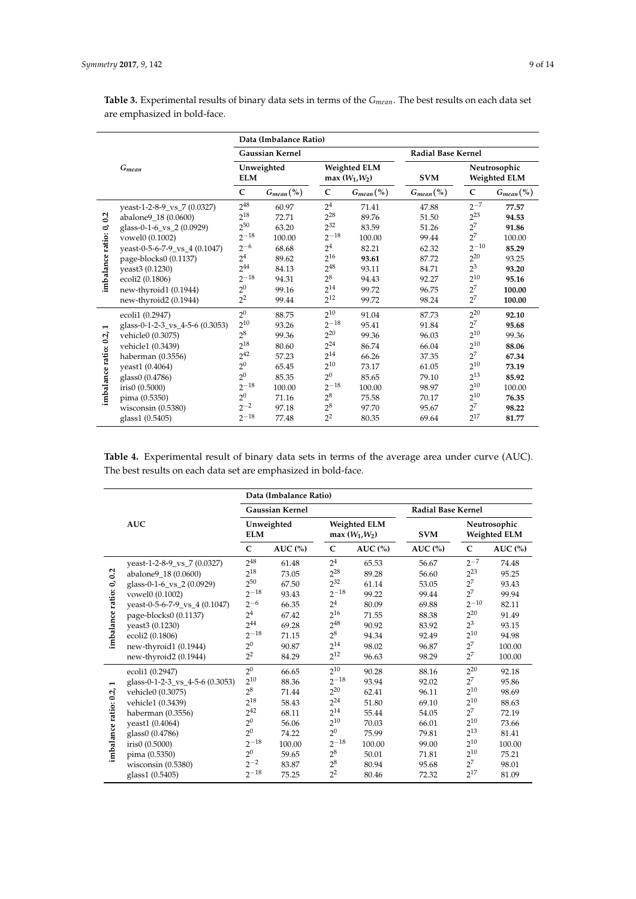<span id="page-8-0"></span>

| Table 3. Experimental results of binary data sets in terms of the $G_{mean}$ . The best results on each data set |  |
|------------------------------------------------------------------------------------------------------------------|--|
| are emphasized in bold-face.                                                                                     |  |

|                       |                                 | Data (Imbalance Ratio) |                          |                           |                                        |                |                                     |                |  |
|-----------------------|---------------------------------|------------------------|--------------------------|---------------------------|----------------------------------------|----------------|-------------------------------------|----------------|--|
|                       | $G_{mean}$                      |                        | <b>Gaussian Kernel</b>   | <b>Radial Base Kernel</b> |                                        |                |                                     |                |  |
|                       |                                 |                        | Unweighted<br><b>ELM</b> |                           | <b>Weighted ELM</b><br>$max(W_1, W_2)$ | <b>SVM</b>     | Neutrosophic<br><b>Weighted ELM</b> |                |  |
|                       |                                 | $\mathsf{C}$           | $G_{mean}$ (%)           | $\mathsf{C}$              | $G_{mean}(\%)$                         | $G_{mean}$ (%) | $\mathbf C$                         | $G_{mean}$ (%) |  |
|                       | yeast-1-2-8-9_vs_7 (0.0327)     | $2^{48}$               | 60.97                    | 2 <sup>4</sup>            | 71.41                                  | 47.88          | $2^{-7}$                            | 77.57          |  |
| 0.2                   | abalone9_18 (0.0600)            | $2^{18}$               | 72.71                    | $2^{28}$                  | 89.76                                  | 51.50          | $2^{23}$                            | 94.53          |  |
| 0,                    | glass-0-1-6_vs_2 (0.0929)       | $2^{50}$               | 63.20                    | $2^{32}$                  | 83.59                                  | 51.26          | $2^7$                               | 91.86          |  |
|                       | vowel0 (0.1002)                 | $2^{-18}$              | 100.00                   | $2^{-18}$                 | 100.00                                 | 99.44          | $2^7$                               | 100.00         |  |
|                       | yeast-0-5-6-7-9_vs_4 (0.1047)   | $2^{-6}$               | 68.68                    | $2^4$                     | 82.21                                  | 62.32          | $2^{-10}$                           | 85.29          |  |
|                       | page-blocks0 (0.1137)           | 2 <sup>4</sup>         | 89.62                    | $2^{16}$                  | 93.61                                  | 87.72          | $2^{20}$                            | 93.25          |  |
| imbalance ratio:      | yeast3 (0.1230)                 | $2^{44}$               | 84.13                    | $2^{48}$                  | 93.11                                  | 84.71          | $2^3$                               | 93.20          |  |
|                       | ecoli2 (0.1806)                 | $2^{-18}$              | 94.31                    | 2 <sup>8</sup>            | 94.43                                  | 92.27          | $2^{10}$                            | 95.16          |  |
|                       | new-thyroid1 (0.1944)           | 2 <sup>0</sup>         | 99.16                    | $2^{14}$                  | 99.72                                  | 96.75          | $2^7$                               | 100.00         |  |
|                       | new-thyroid2 (0.1944)           | 2 <sup>2</sup>         | 99.44                    | $2^{12}$                  | 99.72                                  | 98.24          | $2^7$                               | 100.00         |  |
|                       | ecoli1 (0.2947)                 | 2 <sup>0</sup>         | 88.75                    | $2^{10}$                  | 91.04                                  | 87.73          | $2^{20}$                            | 92.10          |  |
| $\blacksquare$        | glass-0-1-2-3_vs_4-5-6 (0.3053) | $2^{10}$               | 93.26                    | $2^{-18}$                 | 95.41                                  | 91.84          | $2^7$                               | 95.68          |  |
|                       | vehicle0 (0.3075)               | $2^8$                  | 99.36                    | $2^{20}$                  | 99.36                                  | 96.03          | $2^{10}$                            | 99.36          |  |
|                       | vehicle1 (0.3439)               | $2^{18}$               | 80.60                    | $2^{24}$                  | 86.74                                  | 66.04          | $2^{10}$                            | 88.06          |  |
|                       | haberman (0.3556)               | $2^{42}$               | 57.23                    | $2^{14}$                  | 66.26                                  | 37.35          | $2^7$                               | 67.34          |  |
|                       | yeast1 (0.4064)                 | 2 <sup>0</sup>         | 65.45                    | $2^{10}$                  | 73.17                                  | 61.05          | $2^{10}$                            | 73.19          |  |
|                       | glass0 (0.4786)                 | 2 <sup>0</sup>         | 85.35                    | 2 <sup>0</sup>            | 85.65                                  | 79.10          | $2^{13}$                            | 85.92          |  |
|                       | iris0 (0.5000)                  | $2^{-18}$              | 100.00                   | $2^{-18}$                 | 100.00                                 | 98.97          | $2^{10}$                            | 100.00         |  |
| imbalance ratio: 0.2, | pima (0.5350)                   | 2 <sup>0</sup>         | 71.16                    | 2 <sup>8</sup>            | 75.58                                  | 70.17          | $2^{10}$                            | 76.35          |  |
|                       | wisconsin $(0.5380)$            | $2^{-2}$               | 97.18                    | $2^8$                     | 97.70                                  | 95.67          | $2^7$                               | 98.22          |  |
|                       | glass1 (0.5405)                 | $2^{-18}$              | 77.48                    | $2^2$                     | 80.35                                  | 69.64          | $2^{17}$                            | 81.77          |  |

<span id="page-8-1"></span>**Table 4.** Experimental result of binary data sets in terms of the average area under curve (AUC). The best results on each data set are emphasized in bold-face.

|                                                   |                                                                                                                                                                                                                                                       | Data (Imbalance Ratio)                                                                                                                                  |                                                                                                  |                                                                                                                                          |                                                                                                  |                                                                                                 |                                                                                                                         |                                                                                                  |  |
|---------------------------------------------------|-------------------------------------------------------------------------------------------------------------------------------------------------------------------------------------------------------------------------------------------------------|---------------------------------------------------------------------------------------------------------------------------------------------------------|--------------------------------------------------------------------------------------------------|------------------------------------------------------------------------------------------------------------------------------------------|--------------------------------------------------------------------------------------------------|-------------------------------------------------------------------------------------------------|-------------------------------------------------------------------------------------------------------------------------|--------------------------------------------------------------------------------------------------|--|
|                                                   |                                                                                                                                                                                                                                                       |                                                                                                                                                         | Gaussian Kernel                                                                                  |                                                                                                                                          |                                                                                                  |                                                                                                 | <b>Radial Base Kernel</b>                                                                                               |                                                                                                  |  |
|                                                   | <b>AUC</b>                                                                                                                                                                                                                                            | <b>ELM</b>                                                                                                                                              | Unweighted                                                                                       |                                                                                                                                          | <b>Weighted ELM</b><br>$max(W_1,W_2)$                                                            | <b>SVM</b>                                                                                      |                                                                                                                         | Neutrosophic<br><b>Weighted ELM</b>                                                              |  |
|                                                   |                                                                                                                                                                                                                                                       | C                                                                                                                                                       | AUC $(%)$                                                                                        | $\mathsf{C}$                                                                                                                             | $AUC$ $%$                                                                                        | AUC $(%)$                                                                                       | $\mathsf{C}$                                                                                                            | AUC $(%)$                                                                                        |  |
| 0.2<br>imbalance ratio: 0,                        | yeast-1-2-8-9_vs_7 (0.0327)<br>abalone9 18 (0.0600)<br>glass-0-1-6_vs_2 (0.0929)<br>vowel0 (0.1002)<br>yeast-0-5-6-7-9_vs_4 (0.1047)<br>page-blocks0 (0.1137)<br>yeast3 (0.1230)<br>ecoli2 (0.1806)<br>new-thyroid1 (0.1944)<br>new-thyroid2 (0.1944) | $2^{48}$<br>$2^{18}$<br>$2^{50}$<br>$2^{-18}$<br>$2^{-6}$<br>2 <sup>4</sup><br>$2^{44}$<br>$2^{-18}$<br>$2^{0}$<br>2 <sup>2</sup>                       | 61.48<br>73.05<br>67.50<br>93.43<br>66.35<br>67.42<br>69.28<br>71.15<br>90.87<br>84.29           | 2 <sup>4</sup><br>$2^{28}$<br>$2^{32}$<br>$2^{-18}$<br>2 <sup>4</sup><br>$2^{16}$<br>$2^{48}$<br>$2^8$<br>$2^{14}$<br>$2^{12}$           | 65.53<br>89.28<br>61.14<br>99.22<br>80.09<br>71.55<br>90.92<br>94.34<br>98.02<br>96.63           | 56.67<br>56.60<br>53.05<br>99.44<br>69.88<br>88.38<br>83.92<br>92.49<br>96.87<br>98.29          | $2^{-7}$<br>$2^{23}$<br>$2^7$<br>$2^7$<br>$2^{-10}$<br>$2^{20}$<br>$2^3$<br>$2^{10}$<br>$2^7$<br>$2^7$                  | 74.48<br>95.25<br>93.43<br>99.94<br>82.11<br>91.49<br>93.15<br>94.98<br>100.00<br>100.00         |  |
| $\overline{\phantom{0}}$<br>imbalance ratio: 0.2, | ecoli1 (0.2947)<br>glass-0-1-2-3_vs_4-5-6 (0.3053)<br>vehicle0 (0.3075)<br>vehicle1 (0.3439)<br>haberman (0.3556)<br>yeast1 (0.4064)<br>glass0 (0.4786)<br>iris0 (0.5000)<br>pima (0.5350)<br>wisconsin $(0.5380)$<br>glass1 (0.5405)                 | 2 <sup>0</sup><br>$2^{10}$<br>$2^8$<br>$2^{18}$<br>$2^{42}$<br>2 <sup>0</sup><br>2 <sup>0</sup><br>$2^{-18}$<br>2 <sup>0</sup><br>$2^{-2}$<br>$2^{-18}$ | 66.65<br>88.36<br>71.44<br>58.43<br>68.11<br>56.06<br>74.22<br>100.00<br>59.65<br>83.87<br>75.25 | $2^{10}$<br>$2^{-18}$<br>$2^{20}$<br>$2^{24}$<br>$2^{14}$<br>$2^{10}$<br>2 <sup>0</sup><br>$2^{-18}$<br>$2^8$<br>$2^8$<br>2 <sup>2</sup> | 90.28<br>93.94<br>62.41<br>51.80<br>55.44<br>70.03<br>75.99<br>100.00<br>50.01<br>80.94<br>80.46 | 88.16<br>92.02<br>96.11<br>69.10<br>54.05<br>66.01<br>79.81<br>99.00<br>71.81<br>95.68<br>72.32 | $2^{20}$<br>$2^7$<br>$2^{10}$<br>$2^{10}$<br>$2^7$<br>$2^{10}$<br>$2^{13}$<br>$2^{10}$<br>$2^{10}$<br>$2^7$<br>$2^{17}$ | 92.18<br>95.86<br>98.69<br>88.63<br>72.19<br>73.66<br>81.41<br>100.00<br>75.21<br>98.01<br>81.09 |  |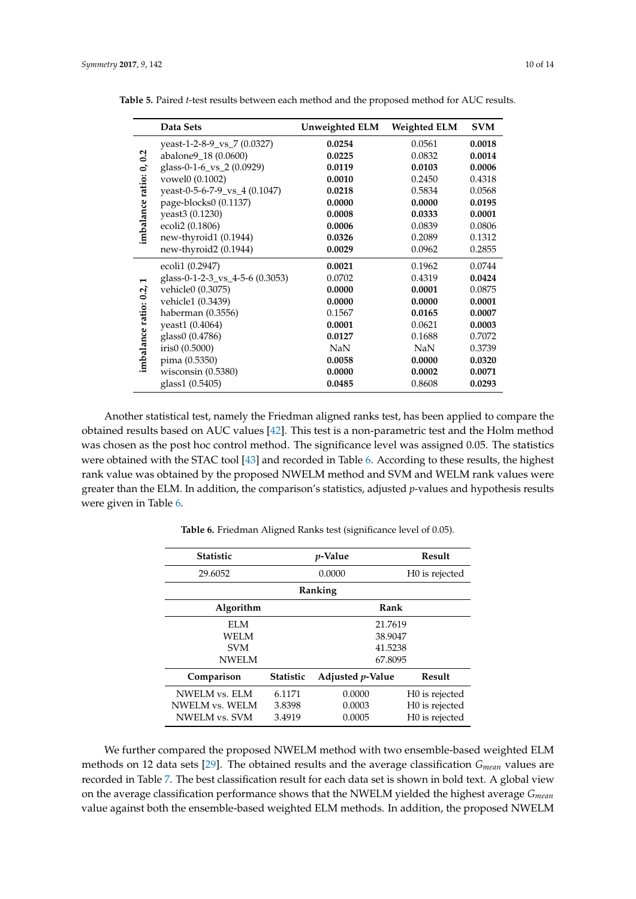|                       | Data Sets                       | Unweighted ELM | <b>Weighted ELM</b> | <b>SVM</b> |
|-----------------------|---------------------------------|----------------|---------------------|------------|
|                       | yeast-1-2-8-9_vs_7 (0.0327)     | 0.0254         | 0.0561              | 0.0018     |
| $\overline{0.2}$      | abalone9_18 (0.0600)            | 0.0225         | 0.0832              | 0.0014     |
|                       | glass-0-1-6_vs_2 (0.0929)       | 0.0119         | 0.0103              | 0.0006     |
|                       | vowel0 (0.1002)                 | 0.0010         | 0.2450              | 0.4318     |
|                       | yeast-0-5-6-7-9_vs_4 (0.1047)   | 0.0218         | 0.5834              | 0.0568     |
|                       | page-blocks0 (0.1137)           | 0.0000         | 0.0000              | 0.0195     |
|                       | yeast3 (0.1230)                 | 0.0008         | 0.0333              | 0.0001     |
| imbalance ratio: 0,   | ecoli2 (0.1806)                 | 0.0006         | 0.0839              | 0.0806     |
|                       | new-thyroid1 (0.1944)           | 0.0326         | 0.2089              | 0.1312     |
|                       | new-thyroid2 (0.1944)           | 0.0029         | 0.0962              | 0.2855     |
|                       | ecoli1 (0.2947)                 | 0.0021         | 0.1962              | 0.0744     |
| $\blacksquare$        | glass-0-1-2-3_vs_4-5-6 (0.3053) | 0.0702         | 0.4319              | 0.0424     |
|                       | vehicle0 (0.3075)               | 0.0000         | 0.0001              | 0.0875     |
|                       | vehicle1 (0.3439)               | 0.0000         | 0.0000              | 0.0001     |
|                       | haberman (0.3556)               | 0.1567         | 0.0165              | 0.0007     |
|                       | yeast1 (0.4064)                 | 0.0001         | 0.0621              | 0.0003     |
|                       | glass0 (0.4786)                 | 0.0127         | 0.1688              | 0.7072     |
|                       | iris0 (0.5000)                  | NaN            | NaN                 | 0.3739     |
| imbalance ratio: 0.2, | pima (0.5350)                   | 0.0058         | 0.0000              | 0.0320     |
|                       | wisconsin $(0.5380)$            | 0.0000         | 0.0002              | 0.0071     |
|                       | glass1 (0.5405)                 | 0.0485         | 0.8608              | 0.0293     |

<span id="page-9-0"></span>**Table 5.** Paired *t*-test results between each method and the proposed method for AUC results.

Another statistical test, namely the Friedman aligned ranks test, has been applied to compare the obtained results based on AUC values [\[42\]](#page-13-0). This test is a non-parametric test and the Holm method was chosen as the post hoc control method. The significance level was assigned 0.05. The statistics were obtained with the STAC tool [\[43\]](#page-13-1) and recorded in Table [6.](#page-9-1) According to these results, the highest rank value was obtained by the proposed NWELM method and SVM and WELM rank values were greater than the ELM. In addition, the comparison's statistics, adjusted *p*-values and hypothesis results were given in Table [6.](#page-9-1)

<span id="page-9-1"></span>

| <b>Statistic</b>                |                  | <i>p</i> -Value          | <b>Result</b>  |  |  |  |
|---------------------------------|------------------|--------------------------|----------------|--|--|--|
| 29.6052                         |                  | 0.0000                   | H0 is rejected |  |  |  |
|                                 | Ranking          |                          |                |  |  |  |
| Algorithm                       |                  | Rank                     |                |  |  |  |
| <b>ELM</b>                      |                  | 21.7619                  |                |  |  |  |
| WELM                            |                  | 38.9047                  |                |  |  |  |
| <b>SVM</b>                      |                  | 41.5238                  |                |  |  |  |
| <b>NWELM</b>                    |                  | 67.8095                  |                |  |  |  |
| Comparison                      | <b>Statistic</b> | Adjusted <i>p</i> -Value | <b>Result</b>  |  |  |  |
| NWELM vs. ELM                   | 6.1171           | 0.0000                   | H0 is rejected |  |  |  |
| <b>NWELM vs. WELM</b><br>3.8398 |                  | 0.0003                   | H0 is rejected |  |  |  |
| NWELM vs. SVM<br>3.4919         |                  | 0.0005                   | H0 is rejected |  |  |  |

**Table 6.** Friedman Aligned Ranks test (significance level of 0.05).

We further compared the proposed NWELM method with two ensemble-based weighted ELM methods on 12 data sets [\[29\]](#page-12-11). The obtained results and the average classification *Gmean* values are recorded in Table [7.](#page-10-1) The best classification result for each data set is shown in bold text. A global view on the average classification performance shows that the NWELM yielded the highest average *Gmean* value against both the ensemble-based weighted ELM methods. In addition, the proposed NWELM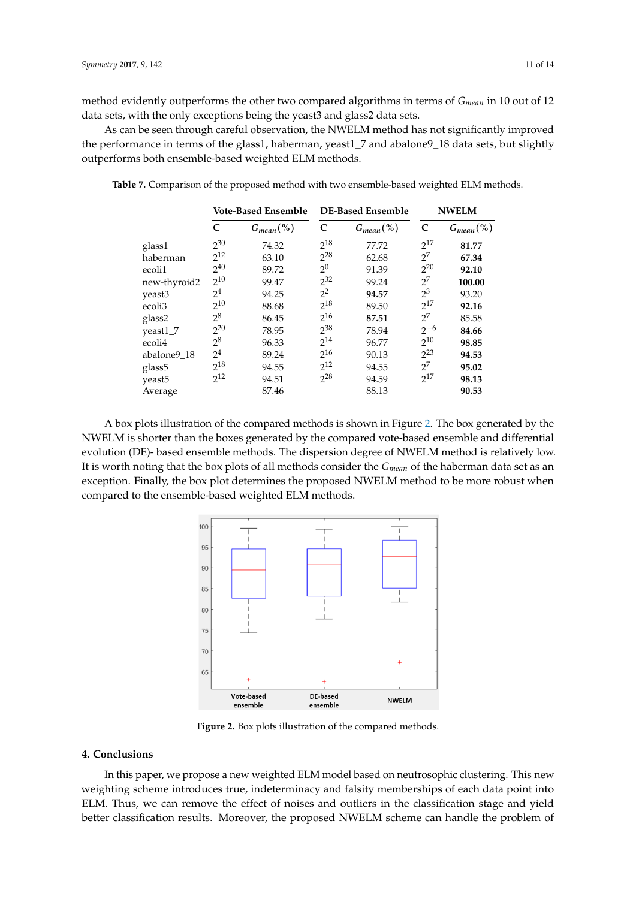method evidently outperforms the other two compared algorithms in terms of *Gmean* in 10 out of 12 data sets, with the only exceptions being the yeast3 and glass2 data sets.

As can be seen through careful observation, the NWELM method has not significantly improved the performance in terms of the glass1, haberman, yeast1\_7 and abalone9\_18 data sets, but slightly outperforms both ensemble-based weighted ELM methods.

|                    | <b>Vote-Based Ensemble</b> |                |                | <b>DE-Based Ensemble</b> | <b>NWELM</b> |                |  |
|--------------------|----------------------------|----------------|----------------|--------------------------|--------------|----------------|--|
|                    | $\mathsf{C}$               | $G_{mean}$ (%) | C              | $G_{mean}$ (%)           | C            | $G_{mean}$ (%) |  |
| glass1             | $2^{30}$                   | 74.32          | $2^{18}$       | 77.72                    | $2^{17}$     | 81.77          |  |
| haberman           | $2^{12}$                   | 63.10          | $2^{28}$       | 62.68                    | $2^7$        | 67.34          |  |
| ecoli1             | 240                        | 89.72          | 2 <sup>0</sup> | 91.39                    | $2^{20}$     | 92.10          |  |
| new-thyroid2       | $2^{10}$                   | 99.47          | $2^{32}$       | 99.24                    | $2^7$        | 100.00         |  |
| yeast3             | 2 <sup>4</sup>             | 94.25          | $2^2$          | 94.57                    | $2^3$        | 93.20          |  |
| ecoli <sub>3</sub> | $2^{10}$                   | 88.68          | $2^{18}$       | 89.50                    | $2^{17}$     | 92.16          |  |
| glass2             | $2^8$                      | 86.45          | $2^{16}$       | 87.51                    | $2^7$        | 85.58          |  |
| yeast1_7           | $2^{20}$                   | 78.95          | 238            | 78.94                    | $2^{-6}$     | 84.66          |  |
| ecoli4             | $2^8$                      | 96.33          | $2^{14}$       | 96.77                    | $2^{10}$     | 98.85          |  |
| abalone9 18        | $2^4$                      | 89.24          | $2^{16}$       | 90.13                    | $2^{23}$     | 94.53          |  |
| glass <sub>5</sub> | $2^{18}$                   | 94.55          | $2^{12}$       | 94.55                    | $2^7$        | 95.02          |  |
| yeast5             | $2^{12}$                   | 94.51          | $2^{28}$       | 94.59                    | $2^{17}$     | 98.13          |  |
| Average            |                            | 87.46          |                | 88.13                    |              | 90.53          |  |

<span id="page-10-1"></span>**Table 7.** Comparison of the proposed method with two ensemble-based weighted ELM methods.

<span id="page-10-2"></span>A box plots illustration of the compared methods is shown in Figure [2.](#page-10-2) The box generated by the NWELM is shorter than the boxes generated by the compared vote-based ensemble and differential evolution (DE)- based ensemble methods. The dispersion degree of NWELM method is relatively low. It is worth noting that the box plots of all methods consider the *Gmean* of the haberman data set as an exception. Finally, the box plot determines the proposed NWELM method to be more robust when compared to the ensemble-based weighted ELM methods.



**Figure 2.** Box plots illustration of the compared methods.

# <span id="page-10-0"></span>**4. Conclusions**

In this paper, we propose a new weighted ELM model based on neutrosophic clustering. This new weighting scheme introduces true, indeterminacy and falsity memberships of each data point into ELM. Thus, we can remove the effect of noises and outliers in the classification stage and yield better classification results. Moreover, the proposed NWELM scheme can handle the problem of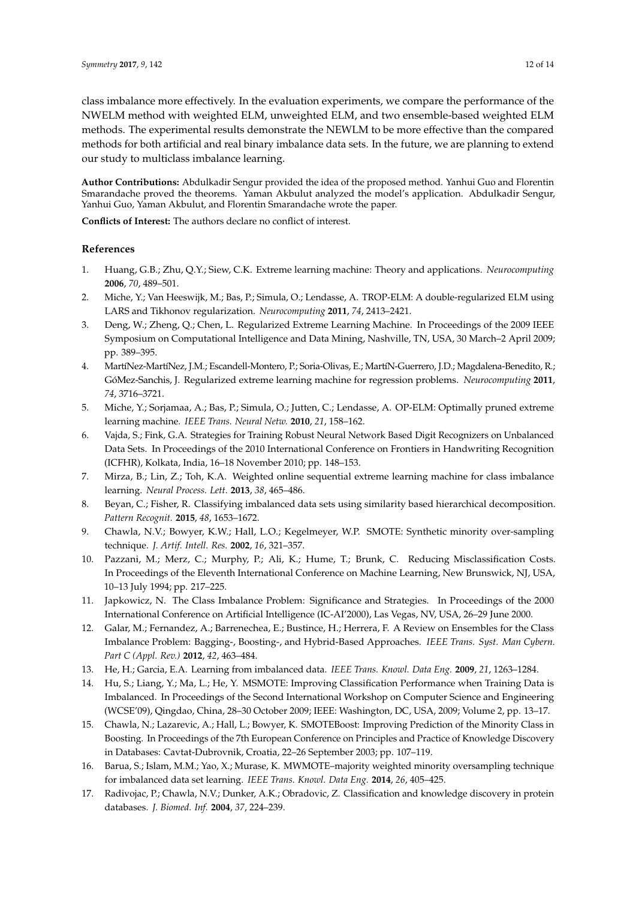class imbalance more effectively. In the evaluation experiments, we compare the performance of the NWELM method with weighted ELM, unweighted ELM, and two ensemble-based weighted ELM methods. The experimental results demonstrate the NEWLM to be more effective than the compared methods for both artificial and real binary imbalance data sets. In the future, we are planning to extend our study to multiclass imbalance learning.

**Author Contributions:** Abdulkadir Sengur provided the idea of the proposed method. Yanhui Guo and Florentin Smarandache proved the theorems. Yaman Akbulut analyzed the model's application. Abdulkadir Sengur, Yanhui Guo, Yaman Akbulut, and Florentin Smarandache wrote the paper.

**Conflicts of Interest:** The authors declare no conflict of interest.

# **References**

- <span id="page-11-0"></span>1. Huang, G.B.; Zhu, Q.Y.; Siew, C.K. Extreme learning machine: Theory and applications. *Neurocomputing* **2006**, *70*, 489–501.
- <span id="page-11-2"></span>2. Miche, Y.; Van Heeswijk, M.; Bas, P.; Simula, O.; Lendasse, A. TROP-ELM: A double-regularized ELM using LARS and Tikhonov regularization. *Neurocomputing* **2011**, *74*, 2413–2421.
- 3. Deng, W.; Zheng, Q.; Chen, L. Regularized Extreme Learning Machine. In Proceedings of the 2009 IEEE Symposium on Computational Intelligence and Data Mining, Nashville, TN, USA, 30 March–2 April 2009; pp. 389–395.
- <span id="page-11-1"></span>4. MartíNez-MartíNez, J.M.; Escandell-Montero, P.; Soria-Olivas, E.; MartíN-Guerrero, J.D.; Magdalena-Benedito, R.; GóMez-Sanchis, J. Regularized extreme learning machine for regression problems. *Neurocomputing* **2011**, *74*, 3716–3721.
- <span id="page-11-3"></span>5. Miche, Y.; Sorjamaa, A.; Bas, P.; Simula, O.; Jutten, C.; Lendasse, A. OP-ELM: Optimally pruned extreme learning machine. *IEEE Trans. Neural Netw.* **2010**, *21*, 158–162.
- <span id="page-11-4"></span>6. Vajda, S.; Fink, G.A. Strategies for Training Robust Neural Network Based Digit Recognizers on Unbalanced Data Sets. In Proceedings of the 2010 International Conference on Frontiers in Handwriting Recognition (ICFHR), Kolkata, India, 16–18 November 2010; pp. 148–153.
- <span id="page-11-5"></span>7. Mirza, B.; Lin, Z.; Toh, K.A. Weighted online sequential extreme learning machine for class imbalance learning. *Neural Process. Lett.* **2013**, *38*, 465–486.
- <span id="page-11-6"></span>8. Beyan, C.; Fisher, R. Classifying imbalanced data sets using similarity based hierarchical decomposition. *Pattern Recognit.* **2015**, *48*, 1653–1672.
- <span id="page-11-7"></span>9. Chawla, N.V.; Bowyer, K.W.; Hall, L.O.; Kegelmeyer, W.P. SMOTE: Synthetic minority over-sampling technique. *J. Artif. Intell. Res.* **2002**, *16*, 321–357.
- <span id="page-11-8"></span>10. Pazzani, M.; Merz, C.; Murphy, P.; Ali, K.; Hume, T.; Brunk, C. Reducing Misclassification Costs. In Proceedings of the Eleventh International Conference on Machine Learning, New Brunswick, NJ, USA, 10–13 July 1994; pp. 217–225.
- <span id="page-11-9"></span>11. Japkowicz, N. The Class Imbalance Problem: Significance and Strategies. In Proceedings of the 2000 International Conference on Artificial Intelligence (IC-AI'2000), Las Vegas, NV, USA, 26–29 June 2000.
- <span id="page-11-10"></span>12. Galar, M.; Fernandez, A.; Barrenechea, E.; Bustince, H.; Herrera, F. A Review on Ensembles for the Class Imbalance Problem: Bagging-, Boosting-, and Hybrid-Based Approaches. *IEEE Trans. Syst. Man Cybern. Part C (Appl. Rev.)* **2012**, *42*, 463–484.
- <span id="page-11-11"></span>13. He, H.; Garcia, E.A. Learning from imbalanced data. *IEEE Trans. Knowl. Data Eng.* **2009**, *21*, 1263–1284.
- <span id="page-11-12"></span>14. Hu, S.; Liang, Y.; Ma, L.; He, Y. MSMOTE: Improving Classification Performance when Training Data is Imbalanced. In Proceedings of the Second International Workshop on Computer Science and Engineering (WCSE'09), Qingdao, China, 28–30 October 2009; IEEE: Washington, DC, USA, 2009; Volume 2, pp. 13–17.
- <span id="page-11-13"></span>15. Chawla, N.; Lazarevic, A.; Hall, L.; Bowyer, K. SMOTEBoost: Improving Prediction of the Minority Class in Boosting. In Proceedings of the 7th European Conference on Principles and Practice of Knowledge Discovery in Databases: Cavtat-Dubrovnik, Croatia, 22–26 September 2003; pp. 107–119.
- <span id="page-11-14"></span>16. Barua, S.; Islam, M.M.; Yao, X.; Murase, K. MWMOTE–majority weighted minority oversampling technique for imbalanced data set learning. *IEEE Trans. Knowl. Data Eng.* **2014**, *26*, 405–425.
- <span id="page-11-15"></span>17. Radivojac, P.; Chawla, N.V.; Dunker, A.K.; Obradovic, Z. Classification and knowledge discovery in protein databases. *J. Biomed. Inf.* **2004**, *37*, 224–239.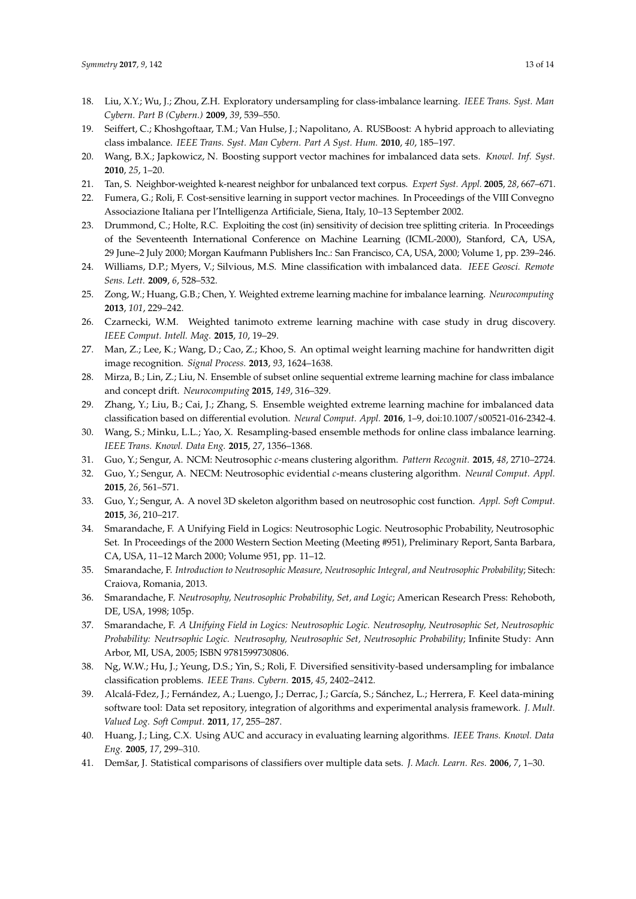- <span id="page-12-0"></span>18. Liu, X.Y.; Wu, J.; Zhou, Z.H. Exploratory undersampling for class-imbalance learning. *IEEE Trans. Syst. Man Cybern. Part B (Cybern.)* **2009**, *39*, 539–550.
- <span id="page-12-1"></span>19. Seiffert, C.; Khoshgoftaar, T.M.; Van Hulse, J.; Napolitano, A. RUSBoost: A hybrid approach to alleviating class imbalance. *IEEE Trans. Syst. Man Cybern. Part A Syst. Hum.* **2010**, *40*, 185–197.
- <span id="page-12-2"></span>20. Wang, B.X.; Japkowicz, N. Boosting support vector machines for imbalanced data sets. *Knowl. Inf. Syst.* **2010**, *25*, 1–20.
- <span id="page-12-3"></span>21. Tan, S. Neighbor-weighted k-nearest neighbor for unbalanced text corpus. *Expert Syst. Appl.* **2005**, *28*, 667–671.
- <span id="page-12-4"></span>22. Fumera, G.; Roli, F. Cost-sensitive learning in support vector machines. In Proceedings of the VIII Convegno Associazione Italiana per l'Intelligenza Artificiale, Siena, Italy, 10–13 September 2002.
- <span id="page-12-5"></span>23. Drummond, C.; Holte, R.C. Exploiting the cost (in) sensitivity of decision tree splitting criteria. In Proceedings of the Seventeenth International Conference on Machine Learning (ICML-2000), Stanford, CA, USA, 29 June–2 July 2000; Morgan Kaufmann Publishers Inc.: San Francisco, CA, USA, 2000; Volume 1, pp. 239–246.
- <span id="page-12-6"></span>24. Williams, D.P.; Myers, V.; Silvious, M.S. Mine classification with imbalanced data. *IEEE Geosci. Remote Sens. Lett.* **2009**, *6*, 528–532.
- <span id="page-12-7"></span>25. Zong, W.; Huang, G.B.; Chen, Y. Weighted extreme learning machine for imbalance learning. *Neurocomputing* **2013**, *101*, 229–242.
- <span id="page-12-8"></span>26. Czarnecki, W.M. Weighted tanimoto extreme learning machine with case study in drug discovery. *IEEE Comput. Intell. Mag.* **2015**, *10*, 19–29.
- <span id="page-12-9"></span>27. Man, Z.; Lee, K.; Wang, D.; Cao, Z.; Khoo, S. An optimal weight learning machine for handwritten digit image recognition. *Signal Process.* **2013**, *93*, 1624–1638.
- <span id="page-12-10"></span>28. Mirza, B.; Lin, Z.; Liu, N. Ensemble of subset online sequential extreme learning machine for class imbalance and concept drift. *Neurocomputing* **2015**, *149*, 316–329.
- <span id="page-12-11"></span>29. Zhang, Y.; Liu, B.; Cai, J.; Zhang, S. Ensemble weighted extreme learning machine for imbalanced data classification based on differential evolution. *Neural Comput. Appl.* **2016**, 1–9, doi:10.1007/s00521-016-2342-4.
- <span id="page-12-12"></span>30. Wang, S.; Minku, L.L.; Yao, X. Resampling-based ensemble methods for online class imbalance learning. *IEEE Trans. Knowl. Data Eng.* **2015**, *27*, 1356–1368.
- <span id="page-12-13"></span>31. Guo, Y.; Sengur, A. NCM: Neutrosophic *c*-means clustering algorithm. *Pattern Recognit.* **2015**, *48*, 2710–2724.
- <span id="page-12-14"></span>32. Guo, Y.; Sengur, A. NECM: Neutrosophic evidential *c*-means clustering algorithm. *Neural Comput. Appl.* **2015**, *26*, 561–571.
- <span id="page-12-15"></span>33. Guo, Y.; Sengur, A. A novel 3D skeleton algorithm based on neutrosophic cost function. *Appl. Soft Comput.* **2015**, *36*, 210–217.
- <span id="page-12-16"></span>34. Smarandache, F. A Unifying Field in Logics: Neutrosophic Logic. Neutrosophic Probability, Neutrosophic Set. In Proceedings of the 2000 Western Section Meeting (Meeting #951), Preliminary Report, Santa Barbara, CA, USA, 11–12 March 2000; Volume 951, pp. 11–12.
- 35. Smarandache, F. *Introduction to Neutrosophic Measure, Neutrosophic Integral, and Neutrosophic Probability*; Sitech: Craiova, Romania, 2013.
- 36. Smarandache, F. *Neutrosophy, Neutrosophic Probability, Set, and Logic*; American Research Press: Rehoboth, DE, USA, 1998; 105p.
- <span id="page-12-17"></span>37. Smarandache, F. *A Unifying Field in Logics: Neutrosophic Logic. Neutrosophy, Neutrosophic Set, Neutrosophic Probability: Neutrsophic Logic. Neutrosophy, Neutrosophic Set, Neutrosophic Probability*; Infinite Study: Ann Arbor, MI, USA, 2005; ISBN 9781599730806.
- <span id="page-12-18"></span>38. Ng, W.W.; Hu, J.; Yeung, D.S.; Yin, S.; Roli, F. Diversified sensitivity-based undersampling for imbalance classification problems. *IEEE Trans. Cybern.* **2015**, *45*, 2402–2412.
- <span id="page-12-19"></span>39. Alcalá-Fdez, J.; Fernández, A.; Luengo, J.; Derrac, J.; García, S.; Sánchez, L.; Herrera, F. Keel data-mining software tool: Data set repository, integration of algorithms and experimental analysis framework. *J. Mult. Valued Log. Soft Comput.* **2011**, *17*, 255–287.
- <span id="page-12-20"></span>40. Huang, J.; Ling, C.X. Using AUC and accuracy in evaluating learning algorithms. *IEEE Trans. Knowl. Data Eng.* **2005**, *17*, 299–310.
- <span id="page-12-21"></span>41. Demšar, J. Statistical comparisons of classifiers over multiple data sets. *J. Mach. Learn. Res.* **2006**, *7*, 1–30.